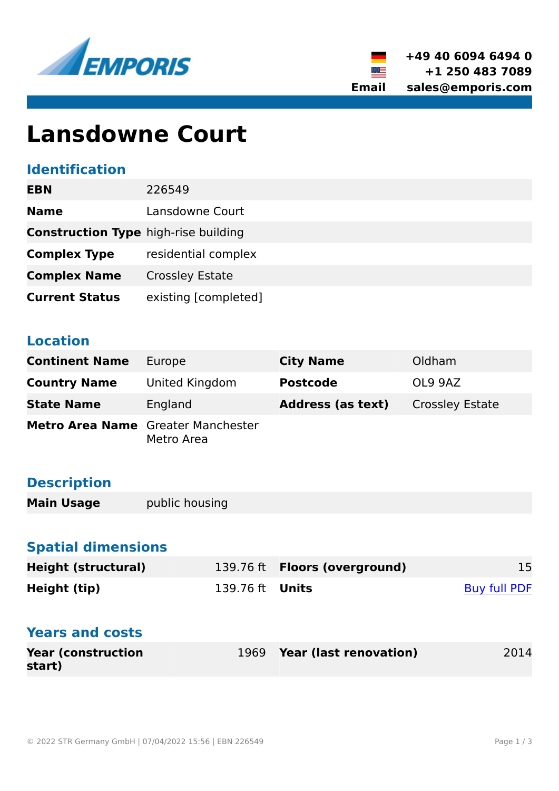



# **Lansdowne Court**

#### **Identification**

| <b>EBN</b>                                  | 226549                 |
|---------------------------------------------|------------------------|
| <b>Name</b>                                 | Lansdowne Court        |
| <b>Construction Type high-rise building</b> |                        |
| <b>Complex Type</b>                         | residential complex    |
| <b>Complex Name</b>                         | <b>Crossley Estate</b> |
| <b>Current Status</b>                       | existing [completed]   |

### **Location**

| <b>Continent Name</b>                     | Europe         | <b>City Name</b>         | Oldham                 |
|-------------------------------------------|----------------|--------------------------|------------------------|
| <b>Country Name</b>                       | United Kingdom | <b>Postcode</b>          | OL9 9AZ                |
| <b>State Name</b>                         | England        | <b>Address (as text)</b> | <b>Crossley Estate</b> |
| <b>Metro Area Name</b> Greater Manchester | Metro Area     |                          |                        |

# **Description**

**Main Usage public housing** 

# **Spatial dimensions**

| <b>Height (structural)</b> |                        | 139.76 ft <b>Floors (overground)</b> | 15                  |
|----------------------------|------------------------|--------------------------------------|---------------------|
| Height (tip)               | 139.76 ft <b>Units</b> |                                      | <b>Buy full PDF</b> |

#### **Years and costs**

| <b>Year (construction)</b> | 1969 Year (last renovation) | 2014 |
|----------------------------|-----------------------------|------|
| start)                     |                             |      |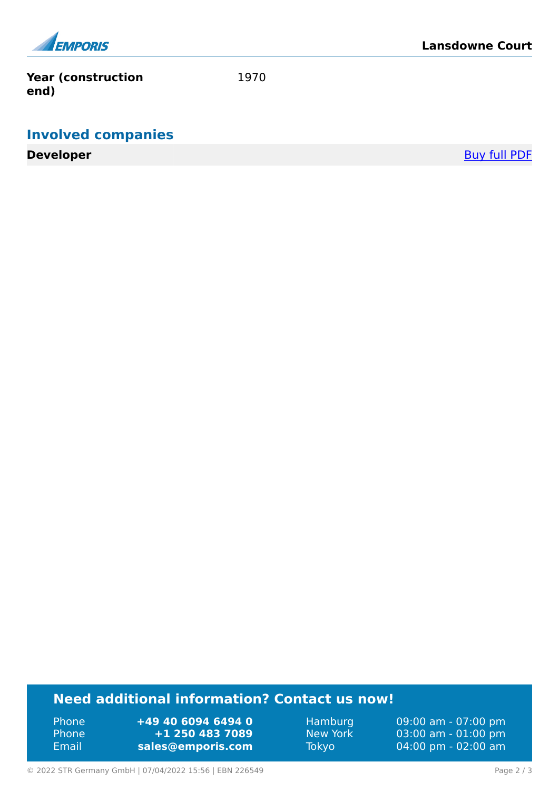

**Year (construction end)**

1970

## **Involved companies**

**Developer** [Buy full PDF](https://www.emporis.com/buildings/226549/lansdowne-court-oldham-united-kingdom?buypdf=)

#### **Need additional information? Contact us now!**

Phone **+49 40 6094 6494 0<br>
Phone <b>+1 250 483 7089** Phone **+1 250 483 7089** Email **<sales@emporis.com>**

Hamburg 09:00 am - 07:00 pm New York 03:00 am - 01:00 pm<br>Tokyo 04:00 pm - 02:00 am 04:00 pm - 02:00 am

© 2022 STR Germany GmbH | 07/04/2022 15:56 | EBN 226549 Page 2 / 3